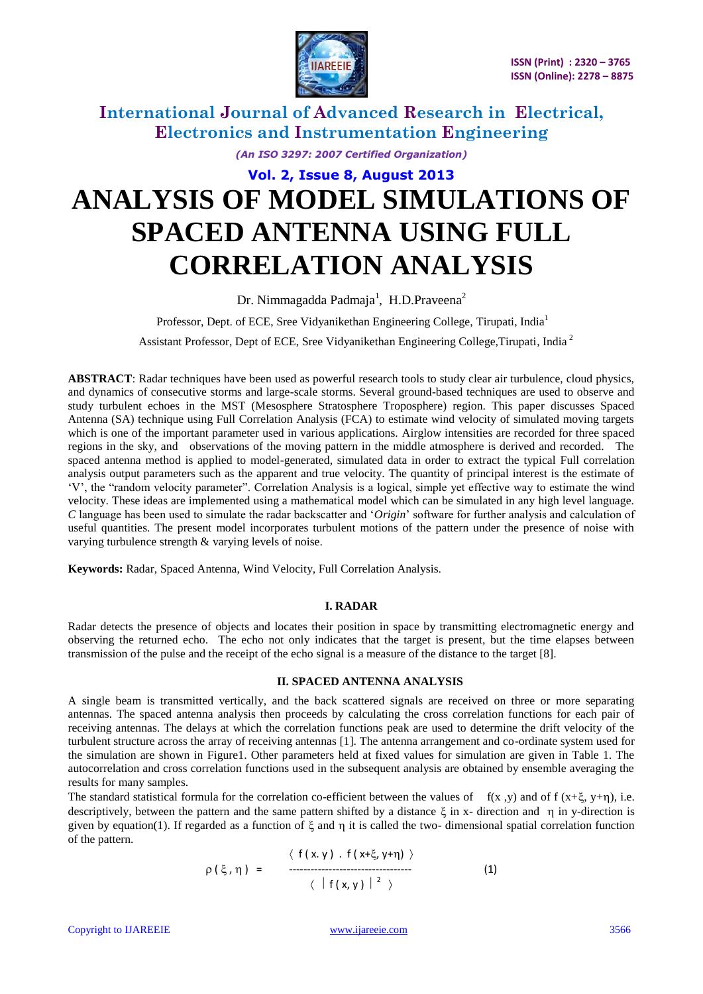

*(An ISO 3297: 2007 Certified Organization)*

# **Vol. 2, Issue 8, August 2013 ANALYSIS OF MODEL SIMULATIONS OF SPACED ANTENNA USING FULL CORRELATION ANALYSIS**

Dr. Nimmagadda Padmaja<sup>1</sup>, H.D.Praveena<sup>2</sup>

Professor, Dept. of ECE, Sree Vidyanikethan Engineering College, Tirupati, India<sup>1</sup>

Assistant Professor, Dept of ECE, Sree Vidyanikethan Engineering College,Tirupati, India <sup>2</sup>

**ABSTRACT**: Radar techniques have been used as powerful research tools to study clear air turbulence, cloud physics, and dynamics of consecutive storms and large-scale storms. Several ground-based techniques are used to observe and study turbulent echoes in the MST (Mesosphere Stratosphere Troposphere) region. This paper discusses Spaced Antenna (SA) technique using Full Correlation Analysis (FCA) to estimate wind velocity of simulated moving targets which is one of the important parameter used in various applications. Airglow intensities are recorded for three spaced regions in the sky, and observations of the moving pattern in the middle atmosphere is derived and recorded. The spaced antenna method is applied to model-generated, simulated data in order to extract the typical Full correlation analysis output parameters such as the apparent and true velocity. The quantity of principal interest is the estimate of "V", the "random velocity parameter". Correlation Analysis is a logical, simple yet effective way to estimate the wind velocity. These ideas are implemented using a mathematical model which can be simulated in any high level language. *C* language has been used to simulate the radar backscatter and "*Origin*" software for further analysis and calculation of useful quantities. The present model incorporates turbulent motions of the pattern under the presence of noise with varying turbulence strength & varying levels of noise.

**Keywords:** Radar, Spaced Antenna, Wind Velocity, Full Correlation Analysis.

#### **I. RADAR**

Radar detects the presence of objects and locates their position in space by transmitting electromagnetic energy and observing the returned echo. The echo not only indicates that the target is present, but the time elapses between transmission of the pulse and the receipt of the echo signal is a measure of the distance to the target [8].

#### **II. SPACED ANTENNA ANALYSIS**

A single beam is transmitted vertically, and the back scattered signals are received on three or more separating antennas. The spaced antenna analysis then proceeds by calculating the cross correlation functions for each pair of receiving antennas. The delays at which the correlation functions peak are used to determine the drift velocity of the turbulent structure across the array of receiving antennas [1]. The antenna arrangement and co-ordinate system used for the simulation are shown in Figure1. Other parameters held at fixed values for simulation are given in Table 1. The autocorrelation and cross correlation functions used in the subsequent analysis are obtained by ensemble averaging the results for many samples.

The standard statistical formula for the correlation co-efficient between the values of  $f(x, y)$  and of  $f(x+\xi, y+\eta)$ , i.e. descriptively, between the pattern and the same pattern shifted by a distance  $\xi$  in x- direction and  $\eta$  in y-direction is given by equation(1). If regarded as a function of  $\xi$  and n it is called the two- dimensional spatial correlation function of the pattern.

$$
\rho(\xi, \eta) = \frac{\langle f(x,y) . f(x+\xi, y+\eta) \rangle}{\langle |f(x,y)|^2 \rangle}
$$
 (1)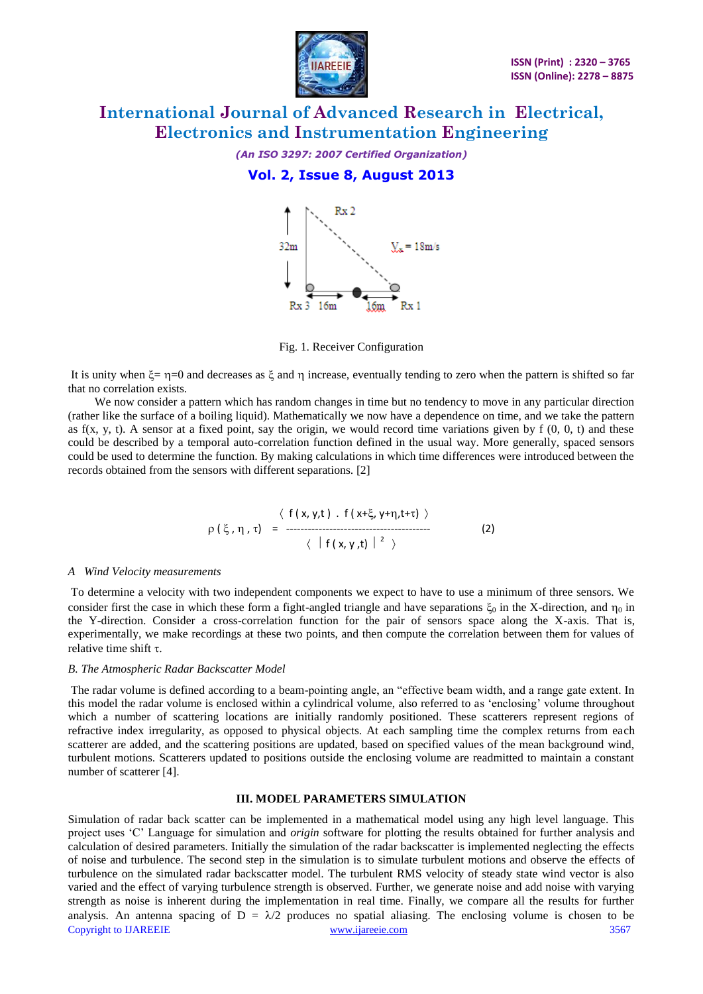

*(An ISO 3297: 2007 Certified Organization)*

### **Vol. 2, Issue 8, August 2013**



Fig. 1. Receiver Configuration

It is unity when  $\xi = \eta = 0$  and decreases as  $\xi$  and  $\eta$  increase, eventually tending to zero when the pattern is shifted so far that no correlation exists.

 We now consider a pattern which has random changes in time but no tendency to move in any particular direction (rather like the surface of a boiling liquid). Mathematically we now have a dependence on time, and we take the pattern as  $f(x, y, t)$ . A sensor at a fixed point, say the origin, we would record time variations given by  $f(0, 0, t)$  and these could be described by a temporal auto-correlation function defined in the usual way. More generally, spaced sensors could be used to determine the function. By making calculations in which time differences were introduced between the records obtained from the sensors with different separations. [2]

$$
\rho\left(\xi, \eta, \tau\right) = \frac{\langle f(x, y, t) . f(x+\xi, y+\eta, t+\tau) \rangle}{\langle |f(x, y, t)|^2 \rangle}
$$
 (2)

#### *A Wind Velocity measurements*

To determine a velocity with two independent components we expect to have to use a minimum of three sensors. We consider first the case in which these form a fight-angled triangle and have separations  $\xi_0$  in the X-direction, and  $\eta_0$  in the Y-direction. Consider a cross-correlation function for the pair of sensors space along the X-axis. That is, experimentally, we make recordings at these two points, and then compute the correlation between them for values of relative time shift  $\tau$ .

### *B. The Atmospheric Radar Backscatter Model*

The radar volume is defined according to a beam-pointing angle, an "effective beam width, and a range gate extent. In this model the radar volume is enclosed within a cylindrical volume, also referred to as "enclosing" volume throughout which a number of scattering locations are initially randomly positioned. These scatterers represent regions of refractive index irregularity, as opposed to physical objects. At each sampling time the complex returns from each scatterer are added, and the scattering positions are updated, based on specified values of the mean background wind, turbulent motions. Scatterers updated to positions outside the enclosing volume are readmitted to maintain a constant number of scatterer [4].

### **III. MODEL PARAMETERS SIMULATION**

Copyright to IJAREEIE [www.ijareeie.com](http://www.ijareeie.com/) 3567 Simulation of radar back scatter can be implemented in a mathematical model using any high level language. This project uses "C" Language for simulation and *origin* software for plotting the results obtained for further analysis and calculation of desired parameters. Initially the simulation of the radar backscatter is implemented neglecting the effects of noise and turbulence. The second step in the simulation is to simulate turbulent motions and observe the effects of turbulence on the simulated radar backscatter model. The turbulent RMS velocity of steady state wind vector is also varied and the effect of varying turbulence strength is observed. Further, we generate noise and add noise with varying strength as noise is inherent during the implementation in real time. Finally, we compare all the results for further analysis. An antenna spacing of  $D = \lambda/2$  produces no spatial aliasing. The enclosing volume is chosen to be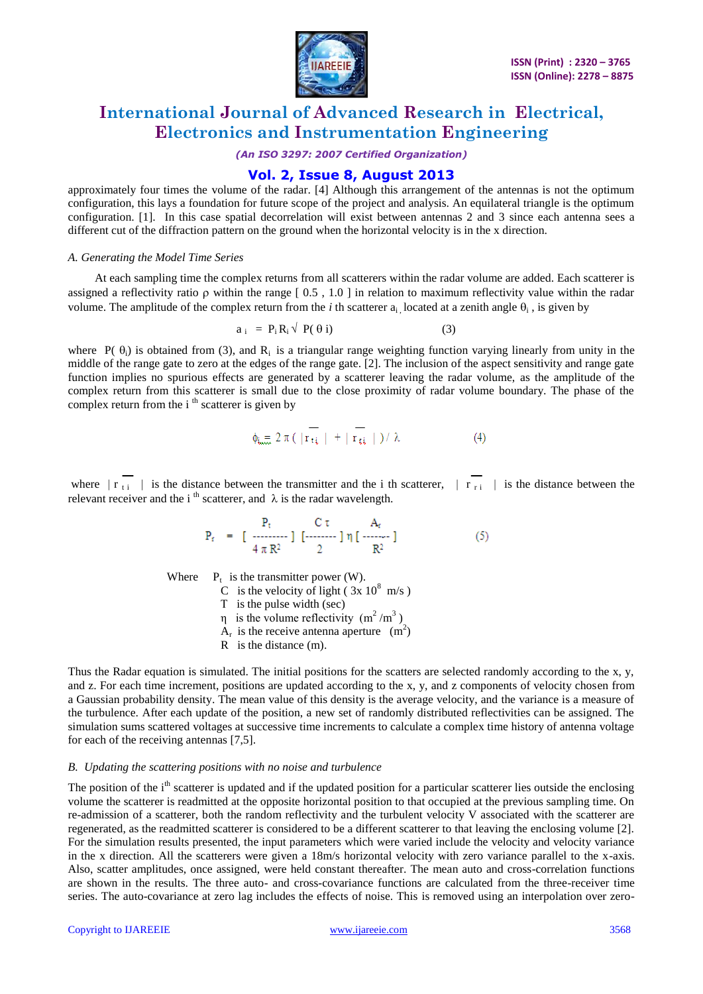

*(An ISO 3297: 2007 Certified Organization)*

### **Vol. 2, Issue 8, August 2013**

approximately four times the volume of the radar. [4] Although this arrangement of the antennas is not the optimum configuration, this lays a foundation for future scope of the project and analysis. An equilateral triangle is the optimum configuration. [1]. In this case spatial decorrelation will exist between antennas 2 and 3 since each antenna sees a different cut of the diffraction pattern on the ground when the horizontal velocity is in the x direction.

#### *A. Generating the Model Time Series*

 At each sampling time the complex returns from all scatterers within the radar volume are added. Each scatterer is assigned a reflectivity ratio  $\rho$  within the range  $[0.5, 1.0]$  in relation to maximum reflectivity value within the radar volume. The amplitude of the complex return from the *i* th scatterer  $a_i$ , located at a zenith angle  $\theta_i$ , is given by

$$
a_{i} = P_{i}R_{i} \sqrt{P(\theta i)}
$$
 (3)

where  $P(\theta_i)$  is obtained from (3), and R<sub>i</sub> is a triangular range weighting function varying linearly from unity in the middle of the range gate to zero at the edges of the range gate. [2]. The inclusion of the aspect sensitivity and range gate function implies no spurious effects are generated by a scatterer leaving the radar volume, as the amplitude of the complex return from this scatterer is small due to the close proximity of radar volume boundary. The phase of the complex return from the  $i<sup>th</sup>$  scatterer is given by

$$
\phi_{i_{\min}} \geq 2 \pi \left( \left| r_{\tau i} \right| + \left| r_{\tau i} \right| \right) / \lambda \tag{4}
$$

where  $\|\mathbf{r}\|$  is the distance between the transmitter and the i th scatterer,  $\|\mathbf{r}\|$  is the distance between the relevant receiver and the i<sup>th</sup> scatterer, and  $\lambda$  is the radar wavelength.

$$
P_{r} = \begin{bmatrix} P_{t} & C \tau & A_{r} \\ \frac{1}{4} \pi R^{2} & 2 \end{bmatrix} \begin{bmatrix} P_{r} & P_{r} \end{bmatrix} \begin{bmatrix} P_{r} & P_{r} \end{bmatrix}
$$
 (5)

Where  $P_t$  is the transmitter power (W).

C is the velocity of light ( $3x 10^8$  m/s) Τ is the pulse width (sec)  $η$  is the volume reflectivity (m<sup>2</sup>/m<sup>3</sup>)  $A_{\rm r}$ is the receive antenna aperture  $(m^2)$ R is the distance (m).

Thus the Radar equation is simulated. The initial positions for the scatters are selected randomly according to the x, y, and z. For each time increment, positions are updated according to the x, y, and z components of velocity chosen from a Gaussian probability density. The mean value of this density is the average velocity, and the variance is a measure of the turbulence. After each update of the position, a new set of randomly distributed reflectivities can be assigned. The simulation sums scattered voltages at successive time increments to calculate a complex time history of antenna voltage for each of the receiving antennas [7,5].

### *B. Updating the scattering positions with no noise and turbulence*

The position of the i<sup>th</sup> scatterer is updated and if the updated position for a particular scatterer lies outside the enclosing volume the scatterer is readmitted at the opposite horizontal position to that occupied at the previous sampling time. On re-admission of a scatterer, both the random reflectivity and the turbulent velocity V associated with the scatterer are regenerated, as the readmitted scatterer is considered to be a different scatterer to that leaving the enclosing volume [2]. For the simulation results presented, the input parameters which were varied include the velocity and velocity variance in the x direction. All the scatterers were given a 18m/s horizontal velocity with zero variance parallel to the x-axis. Also, scatter amplitudes, once assigned, were held constant thereafter. The mean auto and cross-correlation functions are shown in the results. The three auto- and cross-covariance functions are calculated from the three-receiver time series. The auto-covariance at zero lag includes the effects of noise. This is removed using an interpolation over zero-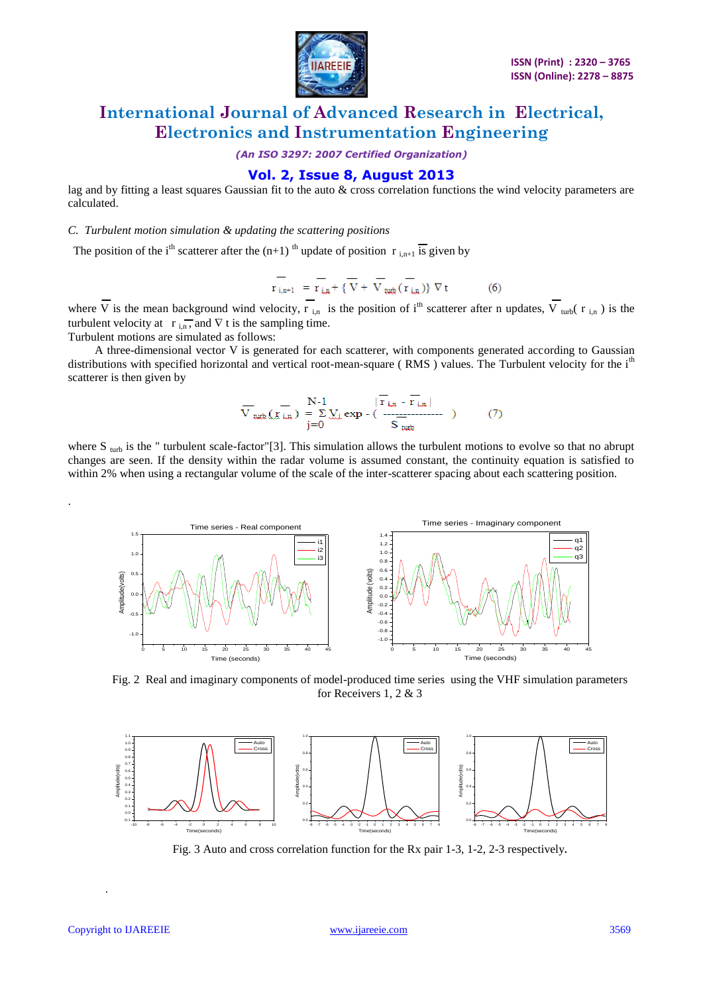

*(An ISO 3297: 2007 Certified Organization)*

### **Vol. 2, Issue 8, August 2013**

lag and by fitting a least squares Gaussian fit to the auto & cross correlation functions the wind velocity parameters are calculated.

*C. Turbulent motion simulation & updating the scattering positions* 

The position of the i<sup>th</sup> scatterer after the  $(n+1)$ <sup>th</sup> update of position r <sub>i,n+1</sub> is given by

$$
\overline{r_{i,n+1}} = \overline{r_{i,n}} + \{\overline{V} + \overline{V}_{turb}(\overline{r_{i,n}})\} \ \nabla t \tag{6}
$$

where  $\overline{V}$  is the mean background wind velocity,  $\overline{r}_{i,n}$  is the position of i<sup>th</sup> scatterer after n updates,  $\overline{V}_{turb}$  ( $r_{i,n}$ ) is the turbulent velocity at  $\mathbf{r}_{\text{in}}$ , and  $\nabla$  t is the sampling time.

Turbulent motions are simulated as follows:

 A three-dimensional vector V is generated for each scatterer, with components generated according to Gaussian distributions with specified horizontal and vertical root-mean-square (RMS) values. The Turbulent velocity for the i<sup>th</sup> scatterer is then given by

$$
\overline{V}_{\text{turb}}\left(\overline{\mathbf{X}}_{\text{in}}\right) = \sum_{j=0}^{N-1} \sum_{\mathbf{x}} \exp\left(-\frac{|\overline{\mathbf{Y}}_{\text{in}} - \overline{\mathbf{Y}}_{\text{in}}|}{S_{\text{turb}}}\right) \tag{7}
$$

where  $S_{\text{turb}}$  is the " turbulent scale-factor"[3]. This simulation allows the turbulent motions to evolve so that no abrupt changes are seen. If the density within the radar volume is assumed constant, the continuity equation is satisfied to within 2% when using a rectangular volume of the scale of the inter-scatterer spacing about each scattering position.



Fig. 2 Real and imaginary components of model-produced time series using the VHF simulation parameters for Receivers 1, 2 & 3



Fig. 3 Auto and cross correlation function for the Rx pair 1-3, 1-2, 2-3 respectively**.**

.

.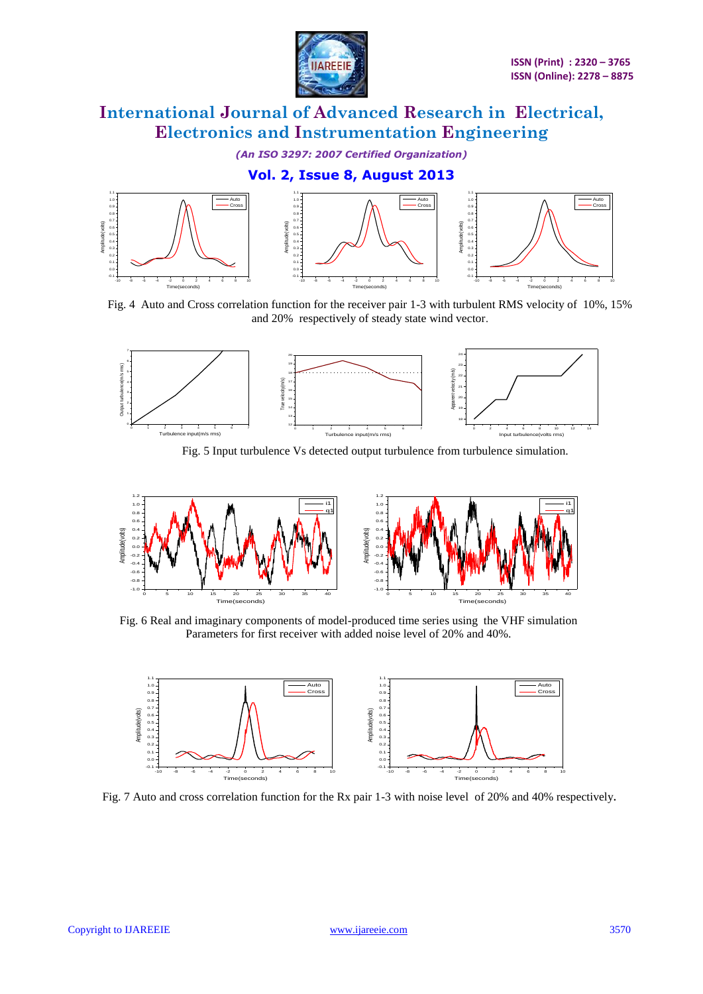

*(An ISO 3297: 2007 Certified Organization)*

**Vol. 2, Issue 8, August 2013**



Fig. 4 Auto and Cross correlation function for the receiver pair 1-3 with turbulent RMS velocity of 10%, 15% and 20% respectively of steady state wind vector.



Fig. 5 Input turbulence Vs detected output turbulence from turbulence simulation.



Fig. 6 Real and imaginary components of model-produced time series using the VHF simulation Parameters for first receiver with added noise level of 20% and 40%.



Fig. 7 Auto and cross correlation function for the Rx pair 1-3 with noise level of 20% and 40% respectively**.**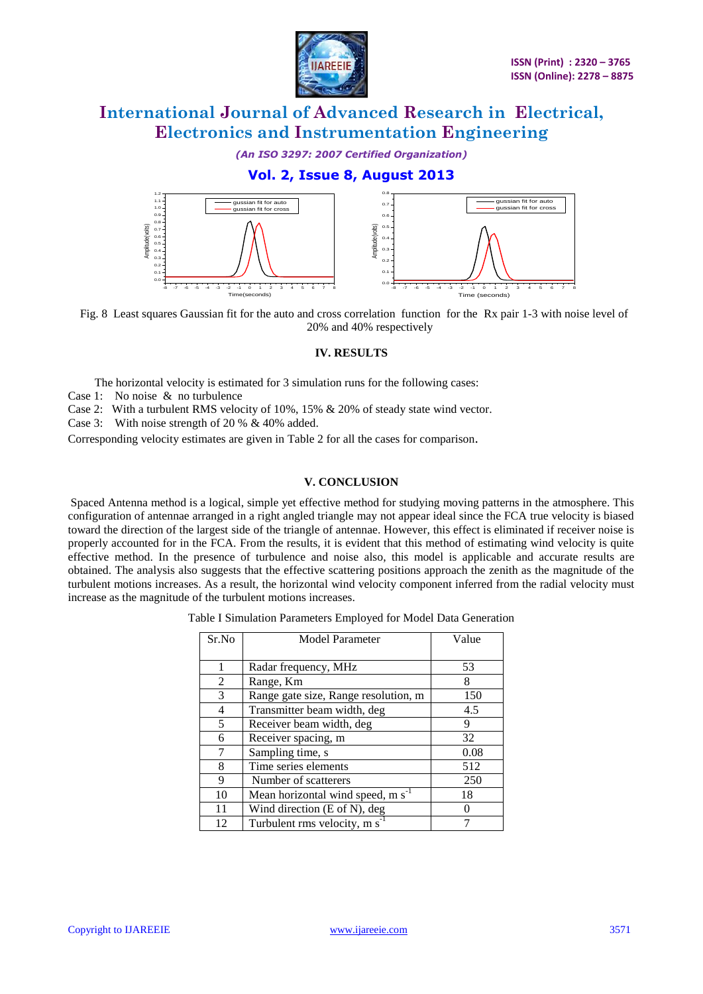

*(An ISO 3297: 2007 Certified Organization)*

### **Vol. 2, Issue 8, August 2013**



Fig. 8 Least squares Gaussian fit for the auto and cross correlation function for the Rx pair 1-3 with noise level of 20% and 40% respectively

### **IV. RESULTS**

The horizontal velocity is estimated for 3 simulation runs for the following cases:

- Case 1: No noise & no turbulence
- Case 2: With a turbulent RMS velocity of 10%, 15% & 20% of steady state wind vector.
- Case 3: With noise strength of 20 % & 40% added.

Corresponding velocity estimates are given in Table 2 for all the cases for comparison.

### **V. CONCLUSION**

Spaced Antenna method is a logical, simple yet effective method for studying moving patterns in the atmosphere. This configuration of antennae arranged in a right angled triangle may not appear ideal since the FCA true velocity is biased toward the direction of the largest side of the triangle of antennae. However, this effect is eliminated if receiver noise is properly accounted for in the FCA. From the results, it is evident that this method of estimating wind velocity is quite effective method. In the presence of turbulence and noise also, this model is applicable and accurate results are obtained. The analysis also suggests that the effective scattering positions approach the zenith as the magnitude of the turbulent motions increases. As a result, the horizontal wind velocity component inferred from the radial velocity must increase as the magnitude of the turbulent motions increases.

| Table I Simulation Parameters Employed for Model Data Generation |  |
|------------------------------------------------------------------|--|
|------------------------------------------------------------------|--|

| Sr.No | <b>Model Parameter</b>                   | Value |
|-------|------------------------------------------|-------|
|       |                                          |       |
| 1     | Radar frequency, MHz                     | 53    |
| 2     | Range, Km                                | 8     |
| 3     | Range gate size, Range resolution, m     | 150   |
| 4     | Transmitter beam width, deg              | 4.5   |
| 5     | Receiver beam width, deg                 | 9     |
| 6     | Receiver spacing, m                      | 32    |
| 7     | Sampling time, s                         | 0.08  |
| 8     | Time series elements                     | 512   |
| 9     | Number of scatterers                     | 250   |
| 10    | Mean horizontal wind speed, $m s^{-1}$   | 18    |
| 11    | Wind direction (E of N), deg             |       |
| 12    | Turbulent rms velocity, m s <sup>-</sup> |       |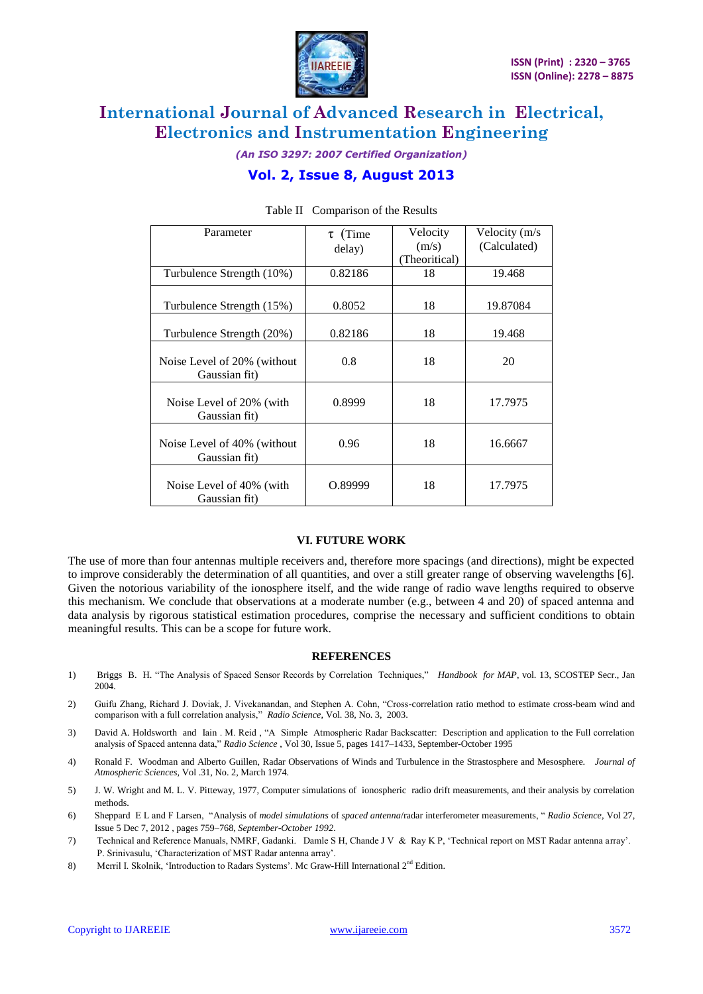

*(An ISO 3297: 2007 Certified Organization)*

### **Vol. 2, Issue 8, August 2013**

| Parameter                                    | $\tau$ (Time<br>delay) | Velocity<br>(m/s)<br>(Theoritical) | Velocity (m/s<br>(Calculated) |
|----------------------------------------------|------------------------|------------------------------------|-------------------------------|
| Turbulence Strength (10%)                    | 0.82186                | 18                                 | 19.468                        |
| Turbulence Strength (15%)                    | 0.8052                 | 18                                 | 19.87084                      |
| Turbulence Strength (20%)                    | 0.82186                | 18                                 | 19.468                        |
| Noise Level of 20% (without<br>Gaussian fit) | 0.8                    | 18                                 | 20                            |
| Noise Level of 20% (with<br>Gaussian fit)    | 0.8999                 | 18                                 | 17.7975                       |
| Noise Level of 40% (without<br>Gaussian fit) | 0.96                   | 18                                 | 16.6667                       |
| Noise Level of 40% (with<br>Gaussian fit)    | 0.89999                | 18                                 | 17.7975                       |

### Table II Comparison of the Results

#### **VI. FUTURE WORK**

The use of more than four antennas multiple receivers and, therefore more spacings (and directions), might be expected to improve considerably the determination of all quantities, and over a still greater range of observing wavelengths [6]. Given the notorious variability of the ionosphere itself, and the wide range of radio wave lengths required to observe this mechanism. We conclude that observations at a moderate number (e.g., between 4 and 20) of spaced antenna and data analysis by rigorous statistical estimation procedures, comprise the necessary and sufficient conditions to obtain meaningful results. This can be a scope for future work.

#### **REFERENCES**

- 1) Briggs B. H. "The Analysis of Spaced Sensor Records by Correlation Techniques," *Handbook for MAP*, vol. 13, SCOSTEP Secr., Jan 2004.
- 2) Guifu Zhang, Richard J. Doviak, J. Vivekanandan, and Stephen A. Cohn, "Cross-correlation ratio method to estimate cross-beam wind and comparison with a full correlation analysis," *Radio Science*, Vol. 38, No. 3, 2003.
- 3) David A. Holdsworth and Iain . M. Reid , "A Simple Atmospheric Radar Backscatter: Description and application to the Full correlation analysis of Spaced antenna data," *Radio Science* [, Vol 30, Issue 5, p](http://onlinelibrary.wiley.com/doi/10.1002/rds.v30.5/issuetoc)ages 1417–1433, September-October 1995
- 4) Ronald F. Woodman and Alberto Guillen, Radar Observations of Winds and Turbulence in the Strastosphere and Mesosphere. *Journal of Atmospheric Sciences*, Vol .31, No. 2, March 1974.
- 5) J. W. Wright and M. L. V. Pitteway, 1977, Computer simulations of ionospheric radio drift measurements, and their analysis by correlation methods.
- 6) Sheppard E L and F Larsen, "Analysis of *model simulations* of *spaced antenna*/radar interferometer measurements, " *[Radio Science,](http://onlinelibrary.wiley.com/journal/10.1002/%28ISSN%291944-799X)* [Vol 27,](http://onlinelibrary.wiley.com/doi/10.1002/rds.v27.5/issuetoc)  [Issue 5](http://onlinelibrary.wiley.com/doi/10.1002/rds.v27.5/issuetoc) Dec 7, 2012 , pages 759–768, *September*-*October 1992*.
- 7) Technical and Reference Manuals, NMRF, Gadanki. Damle S H, Chande J V & Ray K P, "Technical report on MST Radar antenna array". P. Srinivasulu, "Characterization of MST Radar antenna array".
- 8) Merril I. Skolnik, 'Introduction to Radars Systems'. Mc Graw-Hill International 2<sup>nd</sup> Edition.